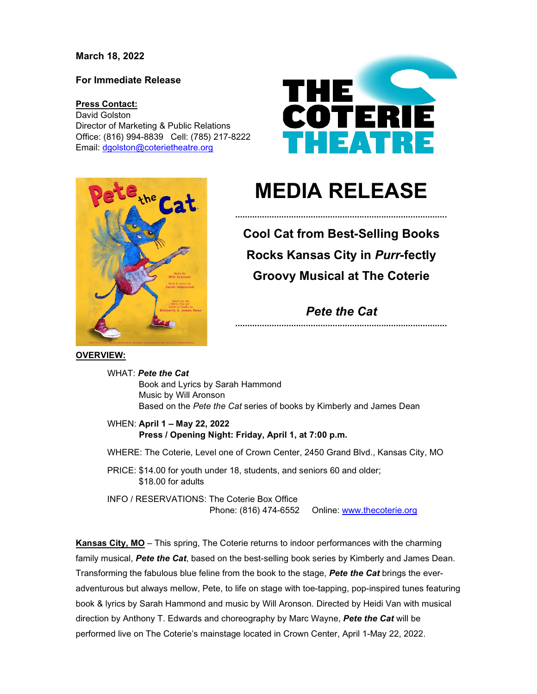## **March 18, 2022**

### **For Immediate Release**

#### **Press Contact:**

David Golston Director of Marketing & Public Relations Office: (816) 994-8839 Cell: (785) 217-8222 Email: [dgolston@coterietheatre.org](mailto:dgolston@coterietheatre.org)





# **MEDIA RELEASE**

**.......................................................................................**

**Cool Cat from Best-Selling Books Rocks Kansas City in** *Purr***-fectly Groovy Musical at The Coterie**

## *Pete the Cat* **.......................................................................................**

**OVERVIEW:**

WHAT: *Pete the Cat* Book and Lyrics by Sarah Hammond Music by Will Aronson Based on the *Pete the Cat* series of books by Kimberly and James Dean

WHEN: **April 1 – May 22, 2022 Press / Opening Night: Friday, April 1, at 7:00 p.m.**

WHERE: The Coterie, Level one of Crown Center, 2450 Grand Blvd., Kansas City, MO

PRICE: \$14.00 for youth under 18, students, and seniors 60 and older; \$18.00 for adults

INFO / RESERVATIONS: The Coterie Box Office Phone: (816) 474-6552 Online: [www.thecoterie.org](http://www.thecoterie.org/)

**Kansas City, MO** – This spring, The Coterie returns to indoor performances with the charming family musical, *Pete the Cat*, based on the best-selling book series by Kimberly and James Dean. Transforming the fabulous blue feline from the book to the stage, *Pete the Cat* brings the everadventurous but always mellow, Pete, to life on stage with toe-tapping, pop-inspired tunes featuring book & lyrics by Sarah Hammond and music by Will Aronson*.* Directed by Heidi Van with musical direction by Anthony T. Edwards and choreography by Marc Wayne, *Pete the Cat* will be performed live on The Coterie's mainstage located in Crown Center, April 1-May 22, 2022.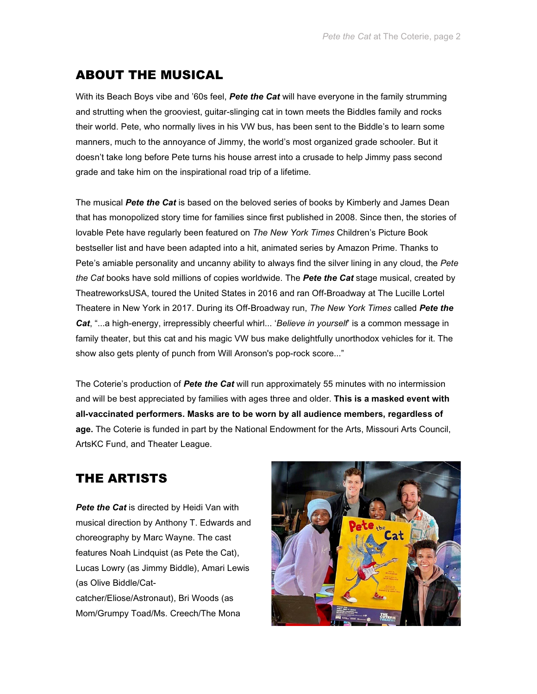## ABOUT THE MUSICAL

With its Beach Boys vibe and '60s feel, *Pete the Cat* will have everyone in the family strumming and strutting when the grooviest, guitar-slinging cat in town meets the Biddles family and rocks their world. Pete, who normally lives in his VW bus, has been sent to the Biddle's to learn some manners, much to the annoyance of Jimmy, the world's most organized grade schooler. But it doesn't take long before Pete turns his house arrest into a crusade to help Jimmy pass second grade and take him on the inspirational road trip of a lifetime.

The musical *Pete the Cat* is based on the beloved series of books by Kimberly and James Dean that has monopolized story time for families since first published in 2008. Since then, the stories of lovable Pete have regularly been featured on *The New York Times* Children's Picture Book bestseller list and have been adapted into a hit, animated series by Amazon Prime. Thanks to Pete's amiable personality and uncanny ability to always find the silver lining in any cloud, the *Pete the Cat* books have sold millions of copies worldwide. The *Pete the Cat* stage musical, created by TheatreworksUSA, toured the United States in 2016 and ran Off-Broadway at The Lucille Lortel Theatere in New York in 2017. During its Off-Broadway run, *The New York Times* called *Pete the Cat*, "...a high-energy, irrepressibly cheerful whirl... '*Believe in yourself*' is a common message in family theater, but this cat and his magic VW bus make delightfully unorthodox vehicles for it. The show also gets plenty of punch from Will Aronson's pop-rock score..."

The Coterie's production of *Pete the Cat* will run approximately 55 minutes with no intermission and will be best appreciated by families with ages three and older. **This is a masked event with all-vaccinated performers. Masks are to be worn by all audience members, regardless of age.** The Coterie is funded in part by the National Endowment for the Arts, Missouri Arts Council, ArtsKC Fund, and Theater League.

# THE ARTISTS

**Pete the Cat** is directed by Heidi Van with musical direction by Anthony T. Edwards and choreography by Marc Wayne. The cast features Noah Lindquist (as Pete the Cat), Lucas Lowry (as Jimmy Biddle), Amari Lewis (as Olive Biddle/Catcatcher/Eliose/Astronaut), Bri Woods (as Mom/Grumpy Toad/Ms. Creech/The Mona

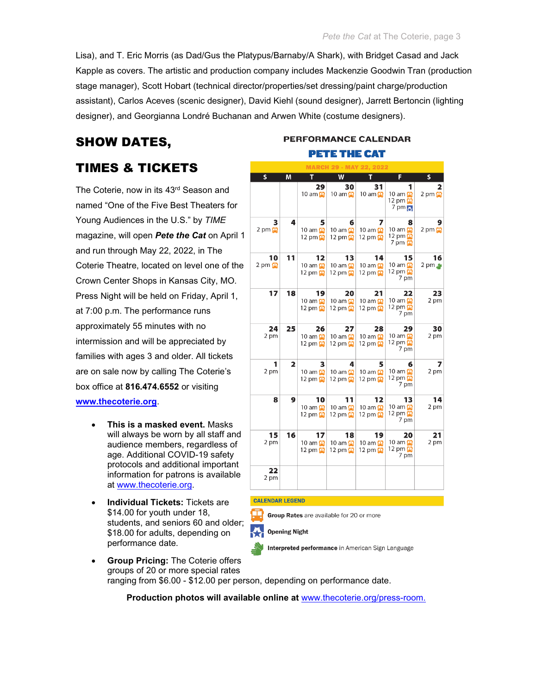Lisa), and T. Eric Morris (as Dad/Gus the Platypus/Barnaby/A Shark), with Bridget Casad and Jack Kapple as covers. The artistic and production company includes Mackenzie Goodwin Tran (production stage manager), Scott Hobart (technical director/properties/set dressing/paint charge/production assistant), Carlos Aceves (scenic designer), David Kiehl (sound designer), Jarrett Bertoncin (lighting designer), and Georgianna Londré Buchanan and Arwen White (costume designers).

# SHOW DATES,

## TIMES & TICKETS

The Coterie, now in its 43rd Season and named "One of the Five Best Theaters for Young Audiences in the U.S." by *TIME* magazine, will open *Pete the Cat* on April 1 and run through May 22, 2022, in The Coterie Theatre, located on level one of the Crown Center Shops in Kansas City, MO*.* Press Night will be held on Friday, April 1, at 7:00 p.m. The performance runs approximately 55 minutes with no intermission and will be appreciated by families with ages 3 and older. All tickets are on sale now by calling The Coterie's box office at **816.474.6552** or visiting **[www.thecoterie.org](http://www.thecoterie.org/)**.

- **This is a masked event.** Masks will always be worn by all staff and audience members, regardless of age. Additional COVID-19 safety protocols and additional important information for patrons is available at [www.thecoterie.org.](http://www.thecoterie.org/)
- **Individual Tickets:** Tickets are \$14.00 for youth under 18, students, and seniors 60 and older; \$18.00 for adults, depending on performance date.

## **PERFORMANCE CALENDAR PETE THE CAT**

| <b>MARCH 29 - MAY 22. 2022</b>        |                         |                                                                   |                                                          |                                                                   |                                                                       |                                 |
|---------------------------------------|-------------------------|-------------------------------------------------------------------|----------------------------------------------------------|-------------------------------------------------------------------|-----------------------------------------------------------------------|---------------------------------|
| s                                     | M                       | Π                                                                 | W                                                        |                                                                   | F                                                                     | s                               |
|                                       |                         | 29<br>10 am $\Box$                                                | 30<br>10 am $\Box$                                       | 31<br>10 am $\Box$                                                | 10 am $\Box$<br>12 pm $\mathbf{\Omega}$<br>$7 \text{ pm}$             | $2 \text{ pm} \n  \blacksquare$ |
| з<br>$2 \text{ pm} \n  \blacksquare$  | 4                       | 5<br>10 am $\mathbf{\Omega}$<br>12 pm $\mathbf{\Omega}$           | 6<br>10 am $\mathbf{\Omega}$<br>12 pm $\mathbf{\Omega}$  | 7<br>10 am $\mathbf{P}$<br>12 pm $\mathbf{\Omega}$                | 8<br>10 am $\mathbf{E}$<br>12 pm $\Box$<br>$7 \text{ pm} \n  \square$ | $2 \text{ pm} \n  \blacksquare$ |
| 10<br>$2 \text{ pm} \n  \blacksquare$ | 11                      | 12<br>10 am 中<br>12 pm                                            | 13<br>10 am <sup>1</sup><br>12 pm                        | 14<br>10 am <del>里</del><br>12 pm $\mathbf{P}$                    | 15<br>10 am $\mathbf{\Omega}$<br>12 pm<br>7 pm                        | 16<br>$2 \text{ pm}$            |
| 17                                    | 18                      | 19<br>10 am $\mathbf{\mathbf{\Omega}}$<br>12 pm $\mathbf{\Omega}$ | 20<br>10 am <b>D</b><br>12 pm <del>里</del>               | 21<br>10 am $\mathbf{\mathbf{\Omega}}$<br>12 pm $\mathbf{\Omega}$ | 22<br>10 am $\Box$<br>12 pm<br>7 pm                                   | 23<br>2 pm                      |
| 24<br>2 pm                            | 25                      | 26<br>10 am $\mathbf{\Omega}$<br>12 pm $\mathbf{\Omega}$          | 27<br>10 am $\blacksquare$<br>12 pm $\mathbf{\Omega}$    | 28<br>10 am $\mathbf{\Omega}$<br>12 pm $\mathbf{\Omega}$          | 29<br>10 am $\mathbf{P}$<br>12 pm $\mathbf{\Omega}$<br>7 pm           | 30<br>2 pm                      |
| 1<br>2 pm                             | $\overline{\mathbf{2}}$ | 3<br>10 am $\Box$<br>12 pm $\mathbf{\Omega}$                      | 4<br>10 am <sup>1</sup><br>12 pm $\mathbf{\Omega}$       | 5<br>10 am $\mathbf{\Omega}$<br>12 pm $\mathbf{\Omega}$           | 6<br>10 am $\Box$<br>12 pm <u>⊞</u><br>7 pm                           | 2 pm                            |
| 8                                     | 9                       | 10<br>10 am $\Box$<br>12 pm                                       | 11<br>10 am<br>12 pm $\mathbf{\Omega}$                   | 12<br>10 am <del>口</del><br>12 pm $\mathbf{\Omega}$               | 13<br>10 am $\mathbf{\Omega}$<br>12 pm <b>⊞</b><br>7 pm               | 14<br>2 pm                      |
| 15<br>2 pm                            | 16                      | 17<br>10 am<br>12 pm $\mathbf{\Omega}$                            | 18<br>10 am $\mathbf{\Omega}$<br>12 pm $\mathbf{\Omega}$ | 19<br>10 am $\Box$<br>12 pm $\mathbf{E}$                          | 20<br>10 am $\mathbf{\Omega}$<br>12 pm 中<br>7 pm                      | 21<br>2 pm                      |
| 22<br>2 pm                            |                         |                                                                   |                                                          |                                                                   |                                                                       |                                 |

#### **CALENDAR LEGEND**

Group Rates are available for 20 or more

**Opening Night** 

Interpreted performance in American Sign Language

• **Group Pricing:** The Coterie offers groups of 20 or more special rates ranging from \$6.00 - \$12.00 per person, depending on performance date.

**Production photos will available online at** [www.thecoterie.org/press-room.](http://www.thecoterie.org/press-room)